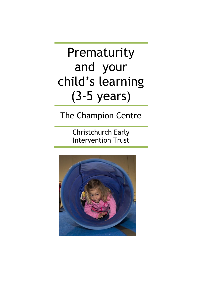# Prematurity and your child's learning (3-5 years)

## The Champion Centre

Christchurch Early Intervention Trust

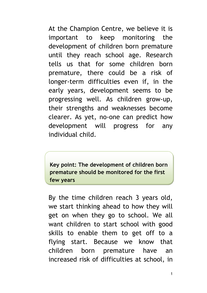At the Champion Centre, we believe it is important to keep monitoring the development of children born premature until they reach school age. Research tells us that for some children born premature, there could be a risk of longer-term difficulties even if, in the early years, development seems to be progressing well. As children grow-up, their strengths and weaknesses become clearer. As yet, no-one can predict how development will progress for any individual child.

**Key point: The development of children born premature should be monitored for the first few years**

By the time children reach 3 years old, we start thinking ahead to how they will get on when they go to school. We all want children to start school with good skills to enable them to get off to a flying start. Because we know that children born premature have an increased risk of difficulties at school, in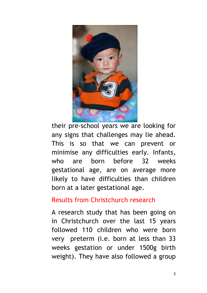

their pre-school years we are looking for any signs that challenges may lie ahead. This is so that we can prevent or minimise any difficulties early. Infants, who are born before 32 weeks gestational age, are on average more likely to have difficulties than children born at a later gestational age.

#### Results from Christchurch research

A research study that has been going on in Christchurch over the last 15 years followed 110 children who were born very preterm (i.e. born at less than 33 weeks gestation or under 1500g birth weight). They have also followed a group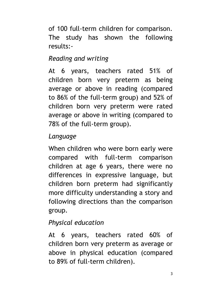of 100 full-term children for comparison. The study has shown the following results:-

### *Reading and writing*

At 6 years, teachers rated 51% of children born very preterm as being average or above in reading (compared to 86% of the full-term group) and 52% of children born very preterm were rated average or above in writing (compared to 78% of the full-term group).

#### *Language*

When children who were born early were compared with full-term comparison children at age 6 years, there were no differences in expressive language, but children born preterm had significantly more difficulty understanding a story and following directions than the comparison group.

## *Physical education*

At 6 years, teachers rated 60% of children born very preterm as average or above in physical education (compared to 89% of full-term children).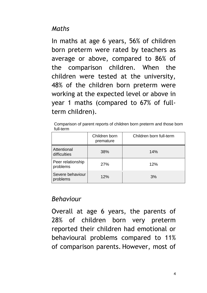#### *Maths*

In maths at age 6 years, 56% of children born preterm were rated by teachers as average or above, compared to 86% of the comparison children. When the children were tested at the university, 48% of the children born preterm were working at the expected level or above in year 1 maths (compared to 67% of fullterm children).

Comparison of parent reports of children born preterm and those born full-term

|                               | Children born<br>premature | Children born full-term |
|-------------------------------|----------------------------|-------------------------|
| Attentional<br>difficulties   | 38%                        | 14%                     |
| Peer relationship<br>problems | 27%                        | 12%                     |
| Severe behaviour<br>problems  | 12%                        | 3%                      |

#### *Behaviour*

Overall at age 6 years, the parents of 28% of children born very preterm reported their children had emotional or behavioural problems compared to 11% of comparison parents. However, most of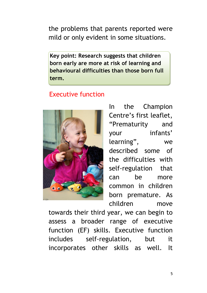the problems that parents reported were mild or only evident in some situations.

**Key point: Research suggests that children born early are more at risk of learning and behavioural difficulties than those born full term.**

#### Executive function



In the Champion Centre's first leaflet, "Prematurity and your infants' learning", we described some of the difficulties with self-regulation that can be more common in children born premature. As children move

towards their third year, we can begin to assess a broader range of executive function (EF) skills. Executive function includes self-regulation, but it incorporates other skills as well. It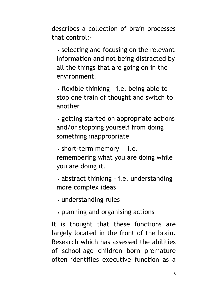describes a collection of brain processes that control:-

• selecting and focusing on the relevant information and not being distracted by all the things that are going on in the environment.

• flexible thinking – i.e. being able to stop one train of thought and switch to another

• getting started on appropriate actions and/or stopping yourself from doing something inappropriate

• short-term memory – i.e. remembering what you are doing while you are doing it.

• abstract thinking – i.e. understanding more complex ideas

• understanding rules

• planning and organising actions

It is thought that these functions are largely located in the front of the brain. Research which has assessed the abilities of school-age children born premature often identifies executive function as a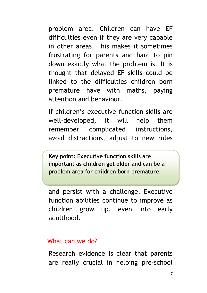problem area. Children can have EF difficulties even if they are very capable in other areas. This makes it sometimes frustrating for parents and hard to pin down exactly what the problem is. It is thought that delayed EF skills could be linked to the difficulties children born premature have with maths, paying attention and behaviour.

If children's executive function skills are well-developed, it will help them remember complicated instructions, avoid distractions, adjust to new rules

**Key point: Executive function skills are important as children get older and can be a problem area for children born premature.**

and persist with a challenge. Executive function abilities continue to improve as children grow up, even into early adulthood.

#### What can we do?

Research evidence is clear that parents are really crucial in helping pre-school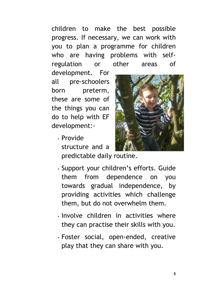children to make the best possible progress. If necessary, we can work with you to plan a programme for children who are having problems with selfregulation or other areas of

development. For all pre-schoolers born preterm, these are some of the things you can do to help with EF development:-

> • Provide structure and a predictable daily routine.



- Support your children's efforts. Guide them from dependence on you towards gradual independence, by providing activities which challenge them, but do not overwhelm them.
- Involve children in activities where they can practise their skills with you.
- Foster social, open-ended, creative play that they can share with you.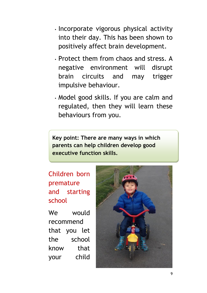- Incorporate vigorous physical activity into their day. This has been shown to positively affect brain development.
- Protect them from chaos and stress. A negative environment will disrupt brain circuits and may trigger impulsive behaviour.
- Model good skills. If you are calm and regulated, then they will learn these behaviours from you.

**Key point: There are many ways in which parents can help children develop good executive function skills.**

### Children born premature and starting school

We would recommend that you let the school know that your child

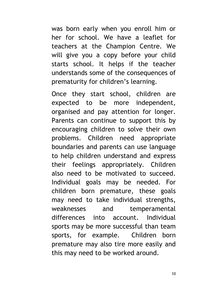was born early when you enroll him or her for school. We have a leaflet for teachers at the Champion Centre. We will give you a copy before your child starts school. It helps if the teacher understands some of the consequences of prematurity for children's learning.

Once they start school, children are expected to be more independent, organised and pay attention for longer. Parents can continue to support this by encouraging children to solve their own problems. Children need appropriate boundaries and parents can use language to help children understand and express their feelings appropriately. Children also need to be motivated to succeed. Individual goals may be needed. For children born premature, these goals may need to take individual strengths, weaknesses and temperamental differences into account. Individual sports may be more successful than team sports, for example. Children born premature may also tire more easily and this may need to be worked around.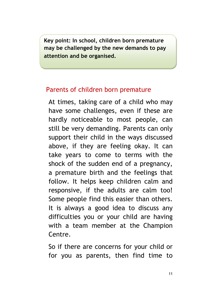**Key point: In school, children born premature may be challenged by the new demands to pay attention and be organised.**

#### Parents of children born premature

At times, taking care of a child who may have some challenges, even if these are hardly noticeable to most people, can still be very demanding. Parents can only support their child in the ways discussed above, if they are feeling okay. It can take years to come to terms with the shock of the sudden end of a pregnancy, a premature birth and the feelings that follow. It helps keep children calm and responsive, if the adults are calm too! Some people find this easier than others. It is always a good idea to discuss any difficulties you or your child are having with a team member at the Champion Centre.

So if there are concerns for your child or for you as parents, then find time to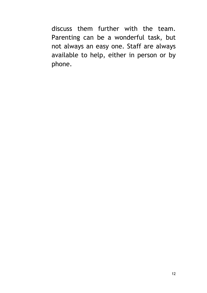discuss them further with the team. Parenting can be a wonderful task, but not always an easy one. Staff are always available to help, either in person or by phone.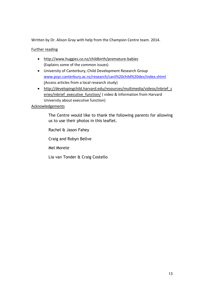Written by Dr. Alison Gray with help from the Champion Centre team. 2014.

#### Further reading

- <http://www.huggies.co.nz/childbirth/premature-babies> (Explains some of the common issues)
- University of Canterbury, Child Development Research Group [www.psyc.canterbury.ac.nz/research/cant%20child%20dev/index.shtml](http://www.psyc.canterbury.ac.nz/research/cant%20child%20dev/index.shtml) (Access articles from a local research study)
- http://developingchild.harvard.edu/resources/multimedia/videos/inbrief s [eries/inbrief\\_executive\\_function/](http://developingchild.harvard.edu/resources/multimedia/videos/inbrief_series/inbrief_executive_function/) ( video & information from Harvard University about executive function)

#### Acknowledgements

The Centre would like to thank the following parents for allowing us to use their photos in this leaflet.

Rachel & Jason Fahey Craig and Robyn Bellve Mel Morete Lia van Tonder & Craig Costello